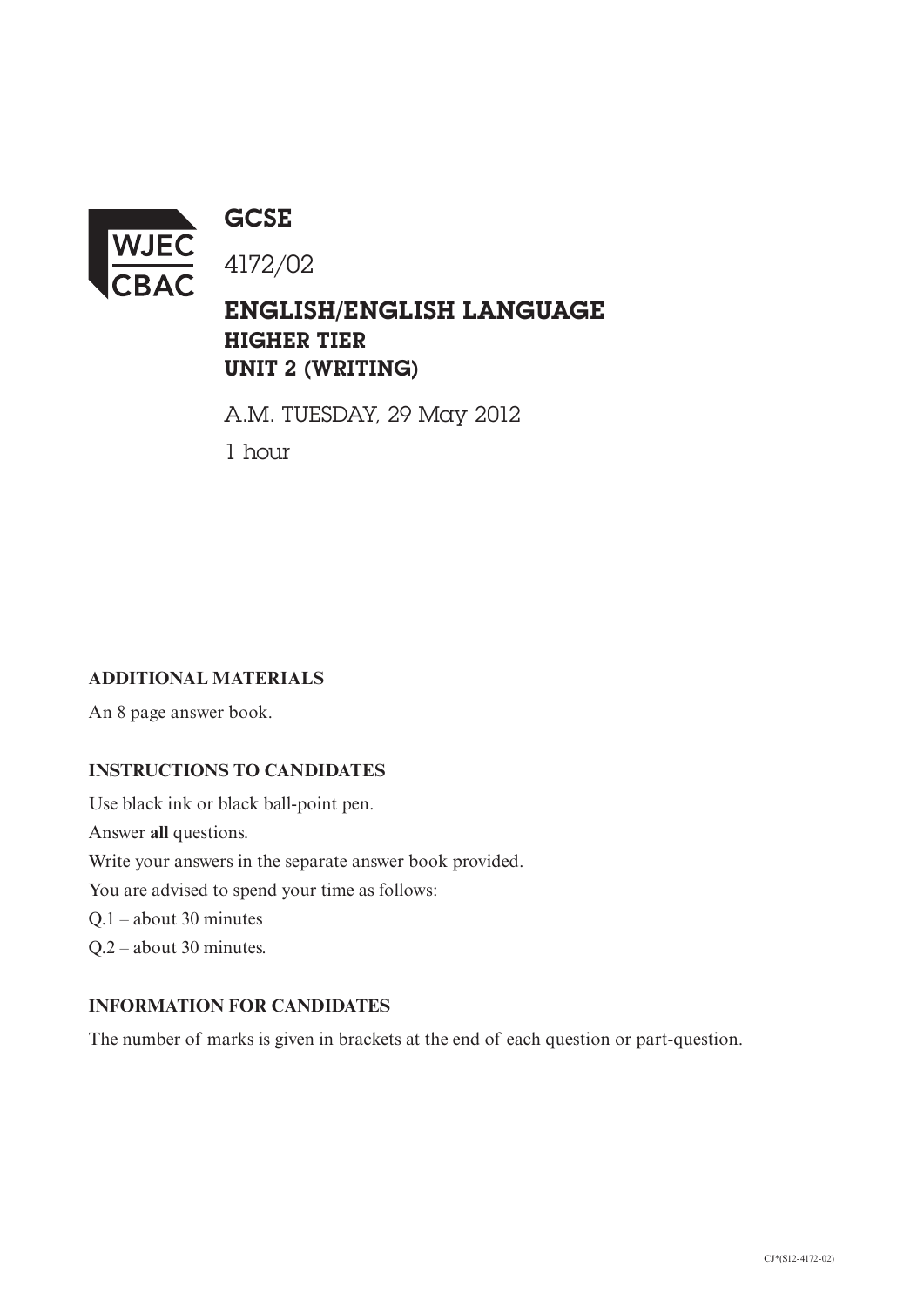

**GCSE** 

ENGLISH/ENGLISH LANGUAGE HIGHER TIER UNIT 2 (WRITING)

A.M. TUESDAY, 29 May 2012

1 hour

## **ADDITIONAL MATERIALS**

An 8 page answer book.

## **INSTRUCTIONS TO CANDIDATES**

Use black ink or black ball-point pen. Answer **all** questions. Write your answers in the separate answer book provided. You are advised to spend your time as follows: Q.1 – about 30 minutes Q.2 – about 30 minutes.

## **INFORMATION FOR CANDIDATES**

The number of marks is given in brackets at the end of each question or part-question.